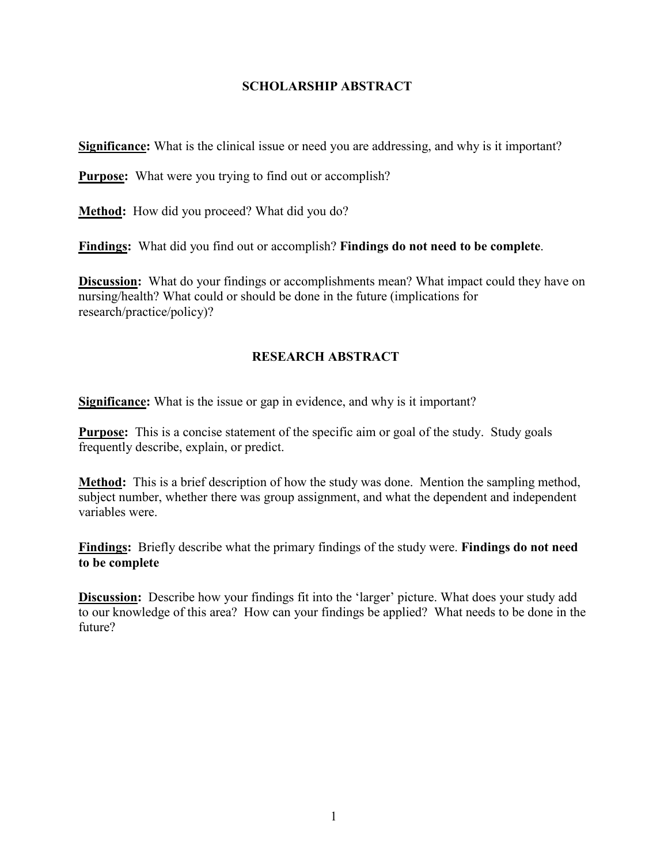## **SCHOLARSHIP ABSTRACT**

**Significance:** What is the clinical issue or need you are addressing, and why is it important?

**Purpose:** What were you trying to find out or accomplish?

**Method:** How did you proceed? What did you do?

**Findings:** What did you find out or accomplish? **Findings do not need to be complete**.

**Discussion:** What do your findings or accomplishments mean? What impact could they have on nursing/health? What could or should be done in the future (implications for research/practice/policy)?

## **RESEARCH ABSTRACT**

**Significance:** What is the issue or gap in evidence, and why is it important?

**Purpose:** This is a concise statement of the specific aim or goal of the study. Study goals frequently describe, explain, or predict.

**Method:** This is a brief description of how the study was done. Mention the sampling method, subject number, whether there was group assignment, and what the dependent and independent variables were.

**Findings:** Briefly describe what the primary findings of the study were. **Findings do not need to be complete**

**Discussion:** Describe how your findings fit into the 'larger' picture. What does your study add to our knowledge of this area? How can your findings be applied? What needs to be done in the future?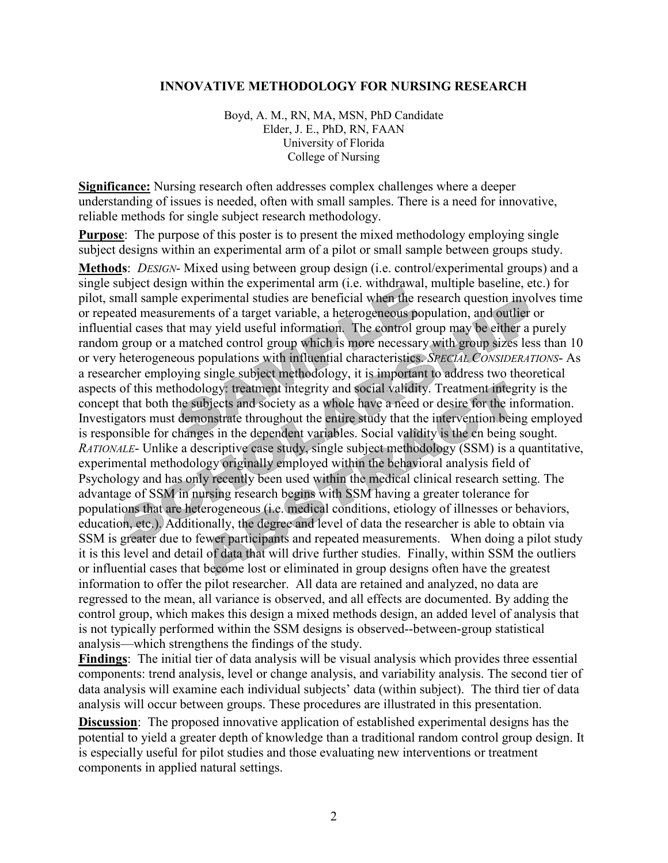## **INNOVATIVE METHODOLOGY FOR NURSING RESEARCH**

Boyd, A. M., RN, MA, MSN, PhD Candidate Elder, J. E., PhD, RN, FAAN University of Florida College of Nursing

**Significance:** Nursing research often addresses complex challenges where a deeper understanding of issues is needed, often with small samples. There is a need for innovative, reliable methods for single subject research methodology.

**Purpose**: The purpose of this poster is to present the mixed methodology employing single subject designs within an experimental arm of a pilot or small sample between groups study.

**Methods**: *DESIGN*- Mixed using between group design (i.e. control/experimental groups) and a single subject design within the experimental arm (i.e. withdrawal, multiple baseline, etc.) for pilot, small sample experimental studies are beneficial when the research question involves time or repeated measurements of a target variable, a heterogeneous population, and outlier or influential cases that may yield useful information. The control group may be either a purely random group or a matched control group which is more necessary with group sizes less than 10 or very heterogeneous populations with influential characteristics. *SPECIAL CONSIDERATIONS*- As a researcher employing single subject methodology, it is important to address two theoretical aspects of this methodology: treatment integrity and social validity. Treatment integrity is the concept that both the subjects and society as a whole have a need or desire for the information. Investigators must demonstrate throughout the entire study that the intervention being employed is responsible for changes in the dependent variables. Social validity is the cn being sought. *RATIONALE*- Unlike a descriptive case study, single subject methodology (SSM) is a quantitative, experimental methodology originally employed within the behavioral analysis field of Psychology and has only recently been used within the medical clinical research setting. The advantage of SSM in nursing research begins with SSM having a greater tolerance for populations that are heterogeneous (i.e. medical conditions, etiology of illnesses or behaviors, education, etc.). Additionally, the degree and level of data the researcher is able to obtain via SSM is greater due to fewer participants and repeated measurements. When doing a pilot study it is this level and detail of data that will drive further studies. Finally, within SSM the outliers or influential cases that become lost or eliminated in group designs often have the greatest information to offer the pilot researcher. All data are retained and analyzed, no data are regressed to the mean, all variance is observed, and all effects are documented. By adding the control group, which makes this design a mixed methods design, an added level of analysis that is not typically performed within the SSM designs is observed--between-group statistical analysis—which strengthens the findings of the study.

**Findings**: The initial tier of data analysis will be visual analysis which provides three essential components: trend analysis, level or change analysis, and variability analysis. The second tier of data analysis will examine each individual subjects' data (within subject). The third tier of data analysis will occur between groups. These procedures are illustrated in this presentation.

**Discussion**: The proposed innovative application of established experimental designs has the potential to yield a greater depth of knowledge than a traditional random control group design. It is especially useful for pilot studies and those evaluating new interventions or treatment components in applied natural settings.